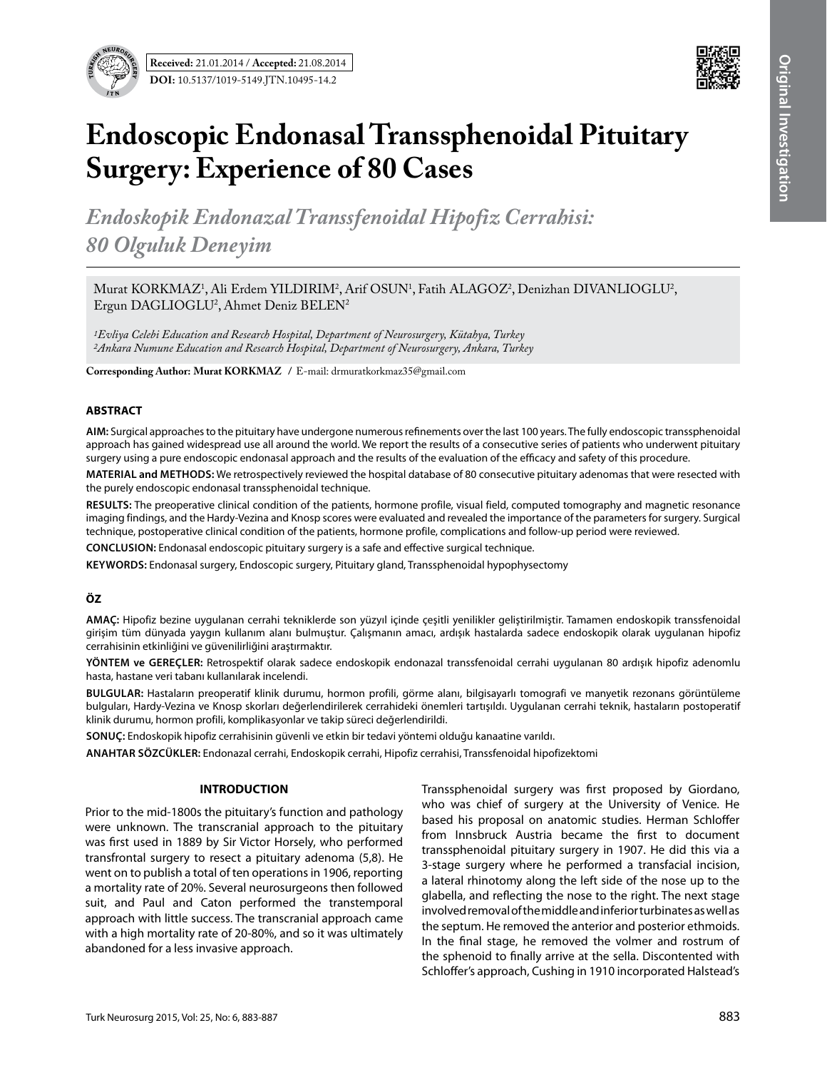



# **Endoscopic Endonasal Transsphenoidal Pituitary Surgery: Experience of 80 Cases**

*Endoskopik Endonazal Transsfenoidal Hipofiz Cerrahisi: 80 Olguluk Deneyim*

Murat KORKMAZ<sup>1</sup>, Ali Erdem YILDIRIM<sup>2</sup>, Arif OSUN<sup>1</sup>, Fatih ALAGOZ<sup>2</sup>, Denizhan DIVANLIOGLU<sup>2</sup>, Ergun DAGLIOGLU2 , Ahmet Deniz BELEN2

*1Evliya Celebi Education and Research Hospital, Department of Neurosurgery, Kütahya, Turkey 2Ankara Numune Education and Research Hospital, Department of Neurosurgery, Ankara, Turkey*

**Corresponding Author: Murat KORKMAZ /** E-mail: drmuratkorkmaz35@gmail.com

#### **ABSTRACT**

**AIm:** Surgical approaches to the pituitary have undergone numerous refinements over the last 100 years. The fully endoscopic transsphenoidal approach has gained widespread use all around the world. We report the results of a consecutive series of patients who underwent pituitary surgery using a pure endoscopic endonasal approach and the results of the evaluation of the efficacy and safety of this procedure.

**MaterIal and Methods:** We retrospectively reviewed the hospital database of 80 consecutive pituitary adenomas that were resected with the purely endoscopic endonasal transsphenoidal technique.

**Results:** The preoperative clinical condition of the patients, hormone profile, visual field, computed tomography and magnetic resonance imaging findings, and the Hardy-Vezina and Knosp scores were evaluated and revealed the importance of the parameters for surgery. Surgical technique, postoperative clinical condition of the patients, hormone profile, complications and follow-up period were reviewed.

**ConclusIon:** Endonasal endoscopic pituitary surgery is a safe and effective surgical technique.

**Keywords:** Endonasal surgery, Endoscopic surgery, Pituitary gland, Transsphenoidal hypophysectomy

# **ÖZ**

**AMAÇ:** Hipofiz bezine uygulanan cerrahi tekniklerde son yüzyıl içinde çeşitli yenilikler geliştirilmiştir. Tamamen endoskopik transsfenoidal girişim tüm dünyada yaygın kullanım alanı bulmuştur. Çalışmanın amacı, ardışık hastalarda sadece endoskopik olarak uygulanan hipofiz cerrahisinin etkinliğini ve güvenilirliğini araştırmaktır.

**YÖNTEM ve GEREÇLER:** Retrospektif olarak sadece endoskopik endonazal transsfenoidal cerrahi uygulanan 80 ardışık hipofiz adenomlu hasta, hastane veri tabanı kullanılarak incelendi.

**BULGULAR:** Hastaların preoperatif klinik durumu, hormon profili, görme alanı, bilgisayarlı tomografi ve manyetik rezonans görüntüleme bulguları, Hardy-Vezina ve Knosp skorları değerlendirilerek cerrahideki önemleri tartışıldı. Uygulanan cerrahi teknik, hastaların postoperatif klinik durumu, hormon profili, komplikasyonlar ve takip süreci değerlendirildi.

**SONUÇ:** Endoskopik hipofiz cerrahisinin güvenli ve etkin bir tedavi yöntemi olduğu kanaatine varıldı.

**ANAHTAR SÖZCÜKLER:** Endonazal cerrahi, Endoskopik cerrahi, Hipofiz cerrahisi, Transsfenoidal hipofizektomi

## **INTRODUCTION**

Prior to the mid-1800s the pituitary's function and pathology were unknown. The transcranial approach to the pituitary was first used in 1889 by Sir Victor Horsely, who performed transfrontal surgery to resect a pituitary adenoma (5,8). He went on to publish a total of ten operations in 1906, reporting a mortality rate of 20%. Several neurosurgeons then followed suit, and Paul and Caton performed the transtemporal approach with little success. The transcranial approach came with a high mortality rate of 20-80%, and so it was ultimately abandoned for a less invasive approach.

Transsphenoidal surgery was first proposed by Giordano, who was chief of surgery at the University of Venice. He based his proposal on anatomic studies. Herman Schloffer from Innsbruck Austria became the first to document transsphenoidal pituitary surgery in 1907. He did this via a 3-stage surgery where he performed a transfacial incision, a lateral rhinotomy along the left side of the nose up to the glabella, and reflecting the nose to the right. The next stage involved removal of the middle and inferior turbinates as well as the septum. He removed the anterior and posterior ethmoids. In the final stage, he removed the volmer and rostrum of the sphenoid to finally arrive at the sella. Discontented with Schloffer's approach, Cushing in 1910 incorporated Halstead's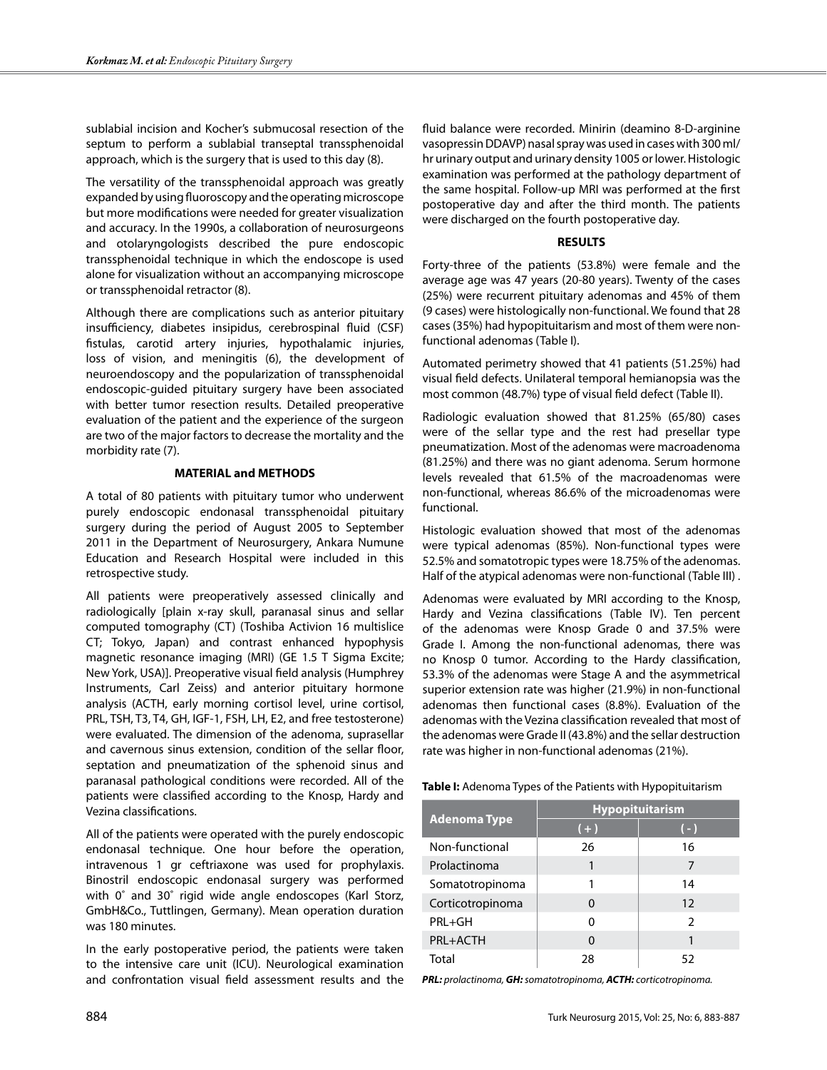sublabial incision and Kocher's submucosal resection of the septum to perform a sublabial transeptal transsphenoidal approach, which is the surgery that is used to this day (8).

The versatility of the transsphenoidal approach was greatly expanded by using fluoroscopy and the operating microscope but more modifications were needed for greater visualization and accuracy. In the 1990s, a collaboration of neurosurgeons and otolaryngologists described the pure endoscopic transsphenoidal technique in which the endoscope is used alone for visualization without an accompanying microscope or transsphenoidal retractor (8).

Although there are complications such as anterior pituitary insufficiency, diabetes insipidus, cerebrospinal fluid (CSF) fistulas, carotid artery injuries, hypothalamic injuries, loss of vision, and meningitis (6), the development of neuroendoscopy and the popularization of transsphenoidal endoscopic-guided pituitary surgery have been associated with better tumor resection results. Detailed preoperative evaluation of the patient and the experience of the surgeon are two of the major factors to decrease the mortality and the morbidity rate (7).

#### **MATERIAL and METHODS**

A total of 80 patients with pituitary tumor who underwent purely endoscopic endonasal transsphenoidal pituitary surgery during the period of August 2005 to September 2011 in the Department of Neurosurgery, Ankara Numune Education and Research Hospital were included in this retrospective study.

All patients were preoperatively assessed clinically and radiologically [plain x-ray skull, paranasal sinus and sellar computed tomography (CT) (Toshiba Activion 16 multislice CT; Tokyo, Japan) and contrast enhanced hypophysis magnetic resonance imaging (MRI) (GE 1.5 T Sigma Excite; New York, USA)]. Preoperative visual field analysis (Humphrey Instruments, Carl Zeiss) and anterior pituitary hormone analysis (ACTH, early morning cortisol level, urine cortisol, PRL, TSH, T3, T4, GH, IGF-1, FSH, LH, E2, and free testosterone) were evaluated. The dimension of the adenoma, suprasellar and cavernous sinus extension, condition of the sellar floor, septation and pneumatization of the sphenoid sinus and paranasal pathological conditions were recorded. All of the patients were classified according to the Knosp, Hardy and Vezina classifications.

All of the patients were operated with the purely endoscopic endonasal technique. One hour before the operation, intravenous 1 gr ceftriaxone was used for prophylaxis. Binostril endoscopic endonasal surgery was performed with 0˚ and 30˚ rigid wide angle endoscopes (Karl Storz, GmbH&Co., Tuttlingen, Germany). Mean operation duration was 180 minutes.

In the early postoperative period, the patients were taken to the intensive care unit (ICU). Neurological examination and confrontation visual field assessment results and the fluid balance were recorded. Minirin (deamino 8-D-arginine vasopressin DDAVP) nasal spray was used in cases with 300 ml/ hr urinary output and urinary density 1005 or lower. Histologic examination was performed at the pathology department of the same hospital. Follow-up MRI was performed at the first postoperative day and after the third month. The patients were discharged on the fourth postoperative day.

### **RESULTS**

Forty-three of the patients (53.8%) were female and the average age was 47 years (20-80 years). Twenty of the cases (25%) were recurrent pituitary adenomas and 45% of them (9 cases) were histologically non-functional. We found that 28 cases (35%) had hypopituitarism and most of them were nonfunctional adenomas (Table I).

Automated perimetry showed that 41 patients (51.25%) had visual field defects. Unilateral temporal hemianopsia was the most common (48.7%) type of visual field defect (Table II).

Radiologic evaluation showed that 81.25% (65/80) cases were of the sellar type and the rest had presellar type pneumatization. Most of the adenomas were macroadenoma (81.25%) and there was no giant adenoma. Serum hormone levels revealed that 61.5% of the macroadenomas were non-functional, whereas 86.6% of the microadenomas were functional.

Histologic evaluation showed that most of the adenomas were typical adenomas (85%). Non-functional types were 52.5% and somatotropic types were 18.75% of the adenomas. Half of the atypical adenomas were non-functional (Table III) .

Adenomas were evaluated by MRI according to the Knosp, Hardy and Vezina classifications (Table IV). Ten percent of the adenomas were Knosp Grade 0 and 37.5% were Grade I. Among the non-functional adenomas, there was no Knosp 0 tumor. According to the Hardy classification, 53.3% of the adenomas were Stage A and the asymmetrical superior extension rate was higher (21.9%) in non-functional adenomas then functional cases (8.8%). Evaluation of the adenomas with the Vezina classification revealed that most of the adenomas were Grade II (43.8%) and the sellar destruction rate was higher in non-functional adenomas (21%).

**Table I:** Adenoma Types of the Patients with Hypopituitarism

|                     | Hypopituitarism |               |  |  |  |
|---------------------|-----------------|---------------|--|--|--|
| <b>Adenoma Type</b> | $(+)$           | $(-)$         |  |  |  |
| Non-functional      | 26              | 16            |  |  |  |
| Prolactinoma        |                 | 7             |  |  |  |
| Somatotropinoma     |                 | 14            |  |  |  |
| Corticotropinoma    | 0               | 12            |  |  |  |
| PRL+GH              | U               | $\mathcal{P}$ |  |  |  |
| PRL+ACTH            | ŋ               |               |  |  |  |
| Total               | 28              | 52            |  |  |  |

*PRL: prolactinoma, GH: somatotropinoma, ACTH: corticotropinoma.*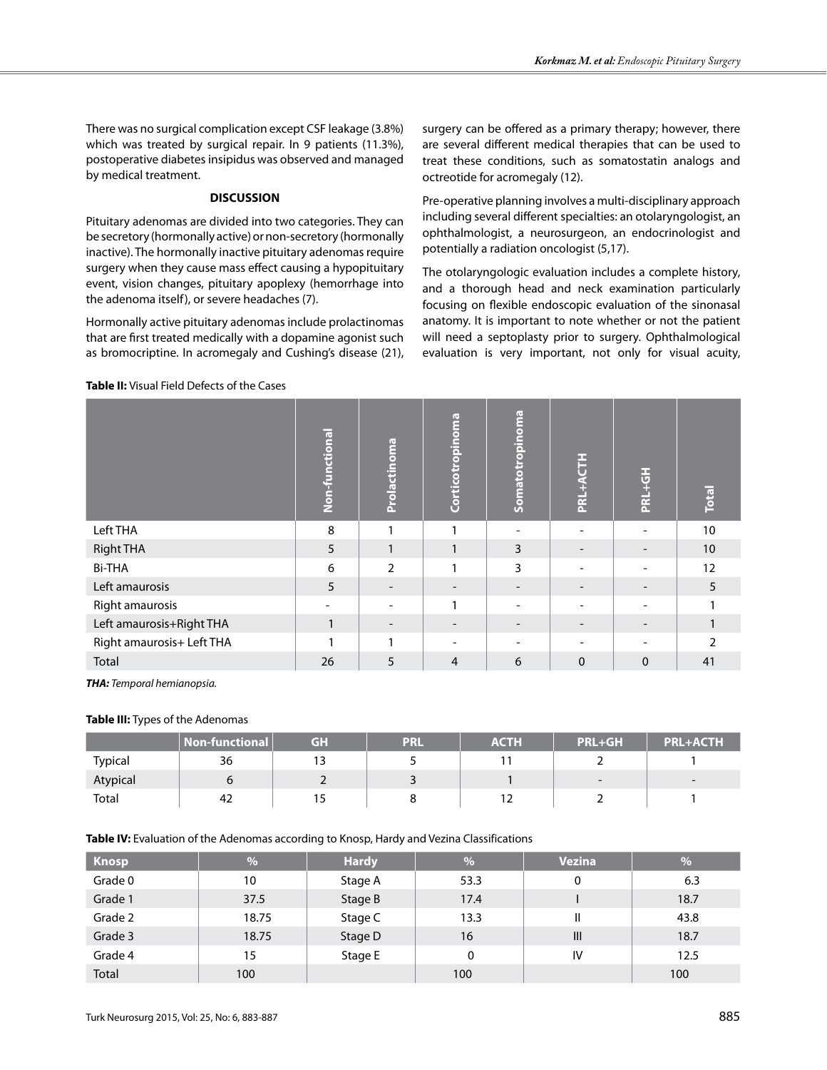There was no surgical complication except CSF leakage (3.8%) which was treated by surgical repair. In 9 patients (11.3%), postoperative diabetes insipidus was observed and managed by medical treatment.

# **DISCUSSION**

Pituitary adenomas are divided into two categories. They can be secretory (hormonally active) or non-secretory (hormonally inactive). The hormonally inactive pituitary adenomas require surgery when they cause mass effect causing a hypopituitary event, vision changes, pituitary apoplexy (hemorrhage into the adenoma itself), or severe headaches (7).

Hormonally active pituitary adenomas include prolactinomas that are first treated medically with a dopamine agonist such as bromocriptine. In acromegaly and Cushing's disease (21),

**Table II:** Visual Field Defects of the Cases

surgery can be offered as a primary therapy; however, there are several different medical therapies that can be used to treat these conditions, such as somatostatin analogs and octreotide for acromegaly (12).

Pre-operative planning involves a multi-disciplinary approach including several different specialties: an otolaryngologist, an ophthalmologist, a neurosurgeon, an endocrinologist and potentially a radiation oncologist (5,17).

The otolaryngologic evaluation includes a complete history, and a thorough head and neck examination particularly focusing on flexible endoscopic evaluation of the sinonasal anatomy. It is important to note whether or not the patient will need a septoplasty prior to surgery. Ophthalmological evaluation is very important, not only for visual acuity,

|                           | Non-functional | Prolactinoma             | Corticotropinoma | Somatotropinoma          | PRL+ACTH        | PRL+GH   | <b>Total</b>    |
|---------------------------|----------------|--------------------------|------------------|--------------------------|-----------------|----------|-----------------|
| Left THA                  | 8              |                          |                  |                          |                 |          | 10              |
| <b>Right THA</b>          | 5              | 1                        | 1                | 3                        | $\qquad \qquad$ |          | 10 <sup>°</sup> |
| <b>Bi-THA</b>             | 6              | $\overline{2}$           | 1                | 3                        |                 |          | 12              |
| Left amaurosis            | 5              |                          |                  |                          |                 |          | 5               |
| Right amaurosis           | ۰              | $\overline{\phantom{a}}$ | 1                | $\overline{\phantom{m}}$ | -               |          |                 |
| Left amaurosis+Right THA  |                |                          |                  | $\qquad \qquad$          |                 |          |                 |
| Right amaurosis+ Left THA |                | 1                        |                  |                          |                 |          | h               |
| Total                     | 26             | 5                        | $\overline{4}$   | 6                        | $\Omega$        | $\Omega$ | 41              |

*THA: Temporal hemianopsia.*

## **Table III:** Types of the Adenomas

|          | <b>Non-functional</b> | GH  | PRL | <b>ACTH</b> | <b>PRL+GH</b>            | <b>PRL+ACTH</b> |
|----------|-----------------------|-----|-----|-------------|--------------------------|-----------------|
| Typical  | 36                    | . J |     |             |                          |                 |
| Atypical |                       |     |     |             | $\overline{\phantom{0}}$ | $\sim$          |
| Total    | 42                    |     |     | $\sim$      |                          |                 |

**Table IV:** Evaluation of the Adenomas according to Knosp, Hardy and Vezina Classifications

| <b>Knosp</b> | %     | <b>Hardy</b> | $\frac{1}{2}$ | <b>Vezina</b>  | %    |
|--------------|-------|--------------|---------------|----------------|------|
| Grade 0      | 10    | Stage A      | 53.3          | 0              | 6.3  |
| Grade 1      | 37.5  | Stage B      | 17.4          |                | 18.7 |
| Grade 2      | 18.75 | Stage C      | 13.3          | Ш              | 43.8 |
| Grade 3      | 18.75 | Stage D      | 16            | $\mathbf{III}$ | 18.7 |
| Grade 4      | 15    | Stage E      | 0             | IV             | 12.5 |
| <b>Total</b> | 100   |              | 100           |                | 100  |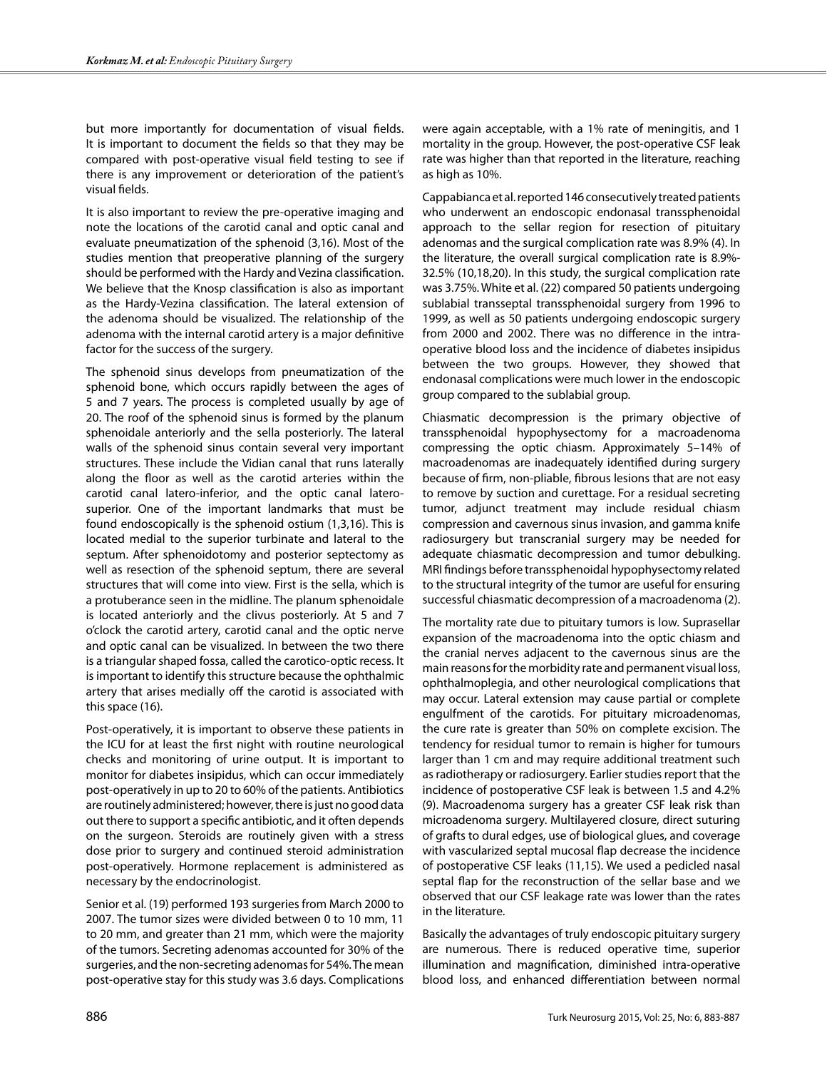but more importantly for documentation of visual fields. It is important to document the fields so that they may be compared with post-operative visual field testing to see if there is any improvement or deterioration of the patient's visual fields.

It is also important to review the pre-operative imaging and note the locations of the carotid canal and optic canal and evaluate pneumatization of the sphenoid (3,16). Most of the studies mention that preoperative planning of the surgery should be performed with the Hardy and Vezina classification. We believe that the Knosp classification is also as important as the Hardy-Vezina classification. The lateral extension of the adenoma should be visualized. The relationship of the adenoma with the internal carotid artery is a major definitive factor for the success of the surgery.

The sphenoid sinus develops from pneumatization of the sphenoid bone, which occurs rapidly between the ages of 5 and 7 years. The process is completed usually by age of 20. The roof of the sphenoid sinus is formed by the planum sphenoidale anteriorly and the sella posteriorly. The lateral walls of the sphenoid sinus contain several very important structures. These include the Vidian canal that runs laterally along the floor as well as the carotid arteries within the carotid canal latero-inferior, and the optic canal laterosuperior. One of the important landmarks that must be found endoscopically is the sphenoid ostium (1,3,16). This is located medial to the superior turbinate and lateral to the septum. After sphenoidotomy and posterior septectomy as well as resection of the sphenoid septum, there are several structures that will come into view. First is the sella, which is a protuberance seen in the midline. The planum sphenoidale is located anteriorly and the clivus posteriorly. At 5 and 7 o'clock the carotid artery, carotid canal and the optic nerve and optic canal can be visualized. In between the two there is a triangular shaped fossa, called the carotico-optic recess. It is important to identify this structure because the ophthalmic artery that arises medially off the carotid is associated with this space (16).

Post-operatively, it is important to observe these patients in the ICU for at least the first night with routine neurological checks and monitoring of urine output. It is important to monitor for diabetes insipidus, which can occur immediately post-operatively in up to 20 to 60% of the patients. Antibiotics are routinely administered; however, there is just no good data out there to support a specific antibiotic, and it often depends on the surgeon. Steroids are routinely given with a stress dose prior to surgery and continued steroid administration post-operatively. Hormone replacement is administered as necessary by the endocrinologist.

Senior et al. (19) performed 193 surgeries from March 2000 to 2007. The tumor sizes were divided between 0 to 10 mm, 11 to 20 mm, and greater than 21 mm, which were the majority of the tumors. Secreting adenomas accounted for 30% of the surgeries, and the non-secreting adenomas for 54%. The mean post-operative stay for this study was 3.6 days. Complications were again acceptable, with a 1% rate of meningitis, and 1 mortality in the group. However, the post-operative CSF leak rate was higher than that reported in the literature, reaching as high as 10%.

Cappabianca et al. reported 146 consecutively treated patients who underwent an endoscopic endonasal transsphenoidal approach to the sellar region for resection of pituitary adenomas and the surgical complication rate was 8.9% (4). In the literature, the overall surgical complication rate is 8.9%- 32.5% (10,18,20). In this study, the surgical complication rate was 3.75%. White et al. (22) compared 50 patients undergoing sublabial transseptal transsphenoidal surgery from 1996 to 1999, as well as 50 patients undergoing endoscopic surgery from 2000 and 2002. There was no difference in the intraoperative blood loss and the incidence of diabetes insipidus between the two groups. However, they showed that endonasal complications were much lower in the endoscopic group compared to the sublabial group.

Chiasmatic decompression is the primary objective of transsphenoidal hypophysectomy for a macroadenoma compressing the optic chiasm. Approximately 5–14% of macroadenomas are inadequately identified during surgery because of firm, non-pliable, fibrous lesions that are not easy to remove by suction and curettage. For a residual secreting tumor, adjunct treatment may include residual chiasm compression and cavernous sinus invasion, and gamma knife radiosurgery but transcranial surgery may be needed for adequate chiasmatic decompression and tumor debulking. MRI findings before transsphenoidal hypophysectomy related to the structural integrity of the tumor are useful for ensuring successful chiasmatic decompression of a macroadenoma (2).

The mortality rate due to pituitary tumors is low. Suprasellar expansion of the macroadenoma into the optic chiasm and the cranial nerves adjacent to the cavernous sinus are the main reasons for the morbidity rate and permanent visual loss, ophthalmoplegia, and other neurological complications that may occur. Lateral extension may cause partial or complete engulfment of the carotids. For pituitary microadenomas, the cure rate is greater than 50% on complete excision. The tendency for residual tumor to remain is higher for tumours larger than 1 cm and may require additional treatment such as radiotherapy or radiosurgery. Earlier studies report that the incidence of postoperative CSF leak is between 1.5 and 4.2% (9). Macroadenoma surgery has a greater CSF leak risk than microadenoma surgery. Multilayered closure, direct suturing of grafts to dural edges, use of biological glues, and coverage with vascularized septal mucosal flap decrease the incidence of postoperative CSF leaks (11,15). We used a pedicled nasal septal flap for the reconstruction of the sellar base and we observed that our CSF leakage rate was lower than the rates in the literature.

Basically the advantages of truly endoscopic pituitary surgery are numerous. There is reduced operative time, superior illumination and magnification, diminished intra-operative blood loss, and enhanced differentiation between normal